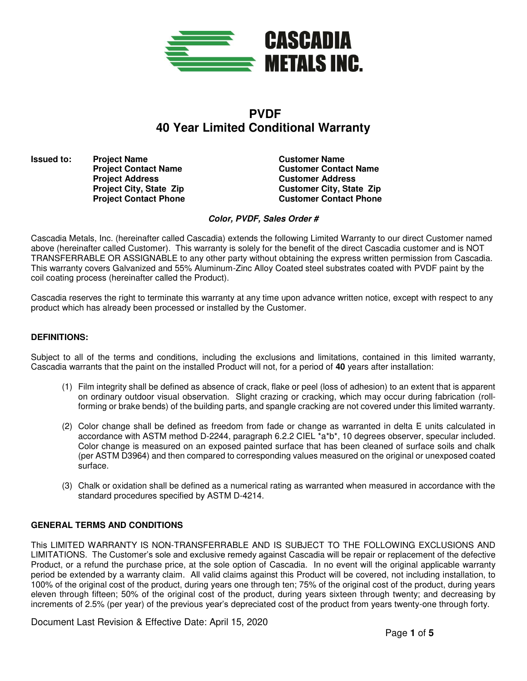

# **PVDF 40 Year Limited Conditional Warranty**

**Issued to: Project Name Customer Name Customer Name Project Address**  Customer Address<br> **Project City, State Zip Customer City, Stat** 

**Project Contact Name Customer Contact Name Project City, State Zip 6. Customer City, State Zip 6. Customer City, State Zip 6. Customer Contact Phone Customer Contact Phone** 

**Color, PVDF, Sales Order #** 

Cascadia Metals, Inc. (hereinafter called Cascadia) extends the following Limited Warranty to our direct Customer named above (hereinafter called Customer). This warranty is solely for the benefit of the direct Cascadia customer and is NOT TRANSFERRABLE OR ASSIGNABLE to any other party without obtaining the express written permission from Cascadia. This warranty covers Galvanized and 55% Aluminum-Zinc Alloy Coated steel substrates coated with PVDF paint by the coil coating process (hereinafter called the Product).

Cascadia reserves the right to terminate this warranty at any time upon advance written notice, except with respect to any product which has already been processed or installed by the Customer.

## **DEFINITIONS:**

Subject to all of the terms and conditions, including the exclusions and limitations, contained in this limited warranty, Cascadia warrants that the paint on the installed Product will not, for a period of **40** years after installation:

- (1) Film integrity shall be defined as absence of crack, flake or peel (loss of adhesion) to an extent that is apparent on ordinary outdoor visual observation. Slight crazing or cracking, which may occur during fabrication (rollforming or brake bends) of the building parts, and spangle cracking are not covered under this limited warranty.
- (2) Color change shall be defined as freedom from fade or change as warranted in delta E units calculated in accordance with ASTM method D-2244, paragraph 6.2.2 CIEL \*a\*b\*, 10 degrees observer, specular included. Color change is measured on an exposed painted surface that has been cleaned of surface soils and chalk (per ASTM D3964) and then compared to corresponding values measured on the original or unexposed coated surface.
- (3) Chalk or oxidation shall be defined as a numerical rating as warranted when measured in accordance with the standard procedures specified by ASTM D-4214.

#### **GENERAL TERMS AND CONDITIONS**

This LIMITED WARRANTY IS NON-TRANSFERRABLE AND IS SUBJECT TO THE FOLLOWING EXCLUSIONS AND LIMITATIONS. The Customer's sole and exclusive remedy against Cascadia will be repair or replacement of the defective Product, or a refund the purchase price, at the sole option of Cascadia. In no event will the original applicable warranty period be extended by a warranty claim. All valid claims against this Product will be covered, not including installation, to 100% of the original cost of the product, during years one through ten; 75% of the original cost of the product, during years eleven through fifteen; 50% of the original cost of the product, during years sixteen through twenty; and decreasing by increments of 2.5% (per year) of the previous year's depreciated cost of the product from years twenty-one through forty.

Document Last Revision & Effective Date: April 15, 2020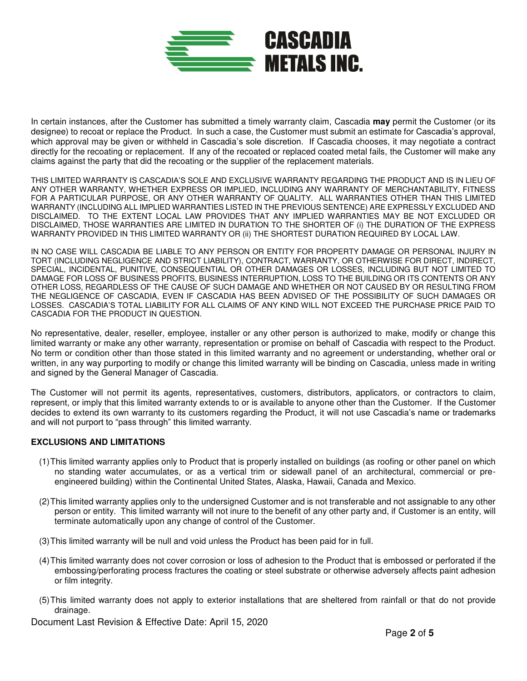

In certain instances, after the Customer has submitted a timely warranty claim, Cascadia **may** permit the Customer (or its designee) to recoat or replace the Product. In such a case, the Customer must submit an estimate for Cascadia's approval, which approval may be given or withheld in Cascadia's sole discretion. If Cascadia chooses, it may negotiate a contract directly for the recoating or replacement. If any of the recoated or replaced coated metal fails, the Customer will make any claims against the party that did the recoating or the supplier of the replacement materials.

THIS LIMITED WARRANTY IS CASCADIA'S SOLE AND EXCLUSIVE WARRANTY REGARDING THE PRODUCT AND IS IN LIEU OF ANY OTHER WARRANTY, WHETHER EXPRESS OR IMPLIED, INCLUDING ANY WARRANTY OF MERCHANTABILITY, FITNESS FOR A PARTICULAR PURPOSE, OR ANY OTHER WARRANTY OF QUALITY. ALL WARRANTIES OTHER THAN THIS LIMITED WARRANTY (INCLUDING ALL IMPLIED WARRANTIES LISTED IN THE PREVIOUS SENTENCE) ARE EXPRESSLY EXCLUDED AND DISCLAIMED. TO THE EXTENT LOCAL LAW PROVIDES THAT ANY IMPLIED WARRANTIES MAY BE NOT EXCLUDED OR DISCLAIMED, THOSE WARRANTIES ARE LIMITED IN DURATION TO THE SHORTER OF (i) THE DURATION OF THE EXPRESS WARRANTY PROVIDED IN THIS LIMITED WARRANTY OR (ii) THE SHORTEST DURATION REQUIRED BY LOCAL LAW.

IN NO CASE WILL CASCADIA BE LIABLE TO ANY PERSON OR ENTITY FOR PROPERTY DAMAGE OR PERSONAL INJURY IN TORT (INCLUDING NEGLIGENCE AND STRICT LIABILITY), CONTRACT, WARRANTY, OR OTHERWISE FOR DIRECT, INDIRECT, SPECIAL, INCIDENTAL, PUNITIVE, CONSEQUENTIAL OR OTHER DAMAGES OR LOSSES, INCLUDING BUT NOT LIMITED TO DAMAGE FOR LOSS OF BUSINESS PROFITS, BUSINESS INTERRUPTION, LOSS TO THE BUILDING OR ITS CONTENTS OR ANY OTHER LOSS, REGARDLESS OF THE CAUSE OF SUCH DAMAGE AND WHETHER OR NOT CAUSED BY OR RESULTING FROM THE NEGLIGENCE OF CASCADIA, EVEN IF CASCADIA HAS BEEN ADVISED OF THE POSSIBILITY OF SUCH DAMAGES OR LOSSES. CASCADIA'S TOTAL LIABILITY FOR ALL CLAIMS OF ANY KIND WILL NOT EXCEED THE PURCHASE PRICE PAID TO CASCADIA FOR THE PRODUCT IN QUESTION.

No representative, dealer, reseller, employee, installer or any other person is authorized to make, modify or change this limited warranty or make any other warranty, representation or promise on behalf of Cascadia with respect to the Product. No term or condition other than those stated in this limited warranty and no agreement or understanding, whether oral or written, in any way purporting to modify or change this limited warranty will be binding on Cascadia, unless made in writing and signed by the General Manager of Cascadia.

The Customer will not permit its agents, representatives, customers, distributors, applicators, or contractors to claim, represent, or imply that this limited warranty extends to or is available to anyone other than the Customer. If the Customer decides to extend its own warranty to its customers regarding the Product, it will not use Cascadia's name or trademarks and will not purport to "pass through" this limited warranty.

#### **EXCLUSIONS AND LIMITATIONS**

- (1) This limited warranty applies only to Product that is properly installed on buildings (as roofing or other panel on which no standing water accumulates, or as a vertical trim or sidewall panel of an architectural, commercial or preengineered building) within the Continental United States, Alaska, Hawaii, Canada and Mexico.
- (2) This limited warranty applies only to the undersigned Customer and is not transferable and not assignable to any other person or entity. This limited warranty will not inure to the benefit of any other party and, if Customer is an entity, will terminate automatically upon any change of control of the Customer.
- (3) This limited warranty will be null and void unless the Product has been paid for in full.
- (4) This limited warranty does not cover corrosion or loss of adhesion to the Product that is embossed or perforated if the embossing/perforating process fractures the coating or steel substrate or otherwise adversely affects paint adhesion or film integrity.
- (5) This limited warranty does not apply to exterior installations that are sheltered from rainfall or that do not provide drainage.

Document Last Revision & Effective Date: April 15, 2020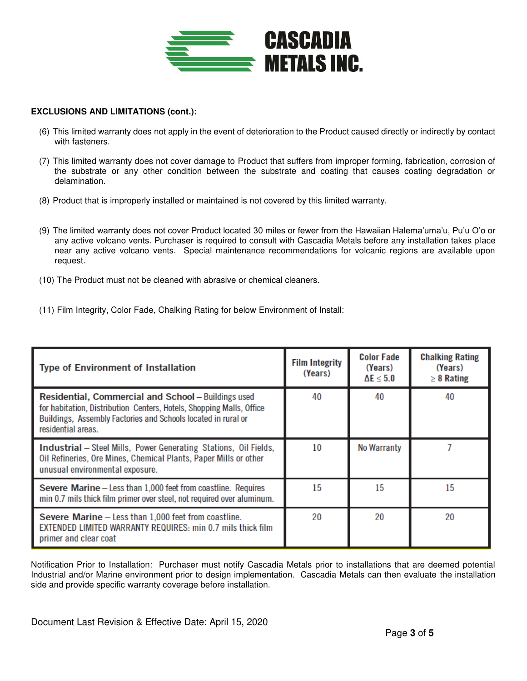

## **EXCLUSIONS AND LIMITATIONS (cont.):**

- (6) This limited warranty does not apply in the event of deterioration to the Product caused directly or indirectly by contact with fasteners.
- (7) This limited warranty does not cover damage to Product that suffers from improper forming, fabrication, corrosion of the substrate or any other condition between the substrate and coating that causes coating degradation or delamination.
- (8) Product that is improperly installed or maintained is not covered by this limited warranty.
- (9) The limited warranty does not cover Product located 30 miles or fewer from the Hawaiian Halema'uma'u, Pu'u O'o or any active volcano vents. Purchaser is required to consult with Cascadia Metals before any installation takes place near any active volcano vents. Special maintenance recommendations for volcanic regions are available upon request.
- (10) The Product must not be cleaned with abrasive or chemical cleaners.
- (11) Film Integrity, Color Fade, Chalking Rating for below Environment of Install:

| <b>Type of Environment of Installation</b>                                                                                                                                                                         | <b>Film Integrity</b><br>(Years) | <b>Color Fade</b><br>(Years)<br>$\Delta E \leq 5.0$ | <b>Chalking Rating</b><br>(Years)<br>$\geq 8$ Rating |
|--------------------------------------------------------------------------------------------------------------------------------------------------------------------------------------------------------------------|----------------------------------|-----------------------------------------------------|------------------------------------------------------|
| Residential, Commercial and School - Buildings used<br>for habitation, Distribution Centers, Hotels, Shopping Malls, Office<br>Buildings, Assembly Factories and Schools located in rural or<br>residential areas. | 40                               | 40                                                  | 40                                                   |
| <b>Industrial</b> – Steel Mills, Power Generating Stations, Oil Fields,<br>Oil Refineries, Ore Mines, Chemical Plants, Paper Mills or other<br>unusual environmental exposure.                                     | 10                               | No Warranty                                         |                                                      |
| Severe Marine - Less than 1,000 feet from coastline. Requires<br>min 0.7 mils thick film primer over steel, not required over aluminum.                                                                            | 15                               | 15                                                  | 15                                                   |
| Severe Marine - Less than 1,000 feet from coastline.<br>EXTENDED LIMITED WARRANTY REQUIRES: min 0.7 mils thick film<br>primer and clear coat                                                                       | 20                               | 20                                                  | 20                                                   |

Notification Prior to Installation: Purchaser must notify Cascadia Metals prior to installations that are deemed potential Industrial and/or Marine environment prior to design implementation. Cascadia Metals can then evaluate the installation side and provide specific warranty coverage before installation.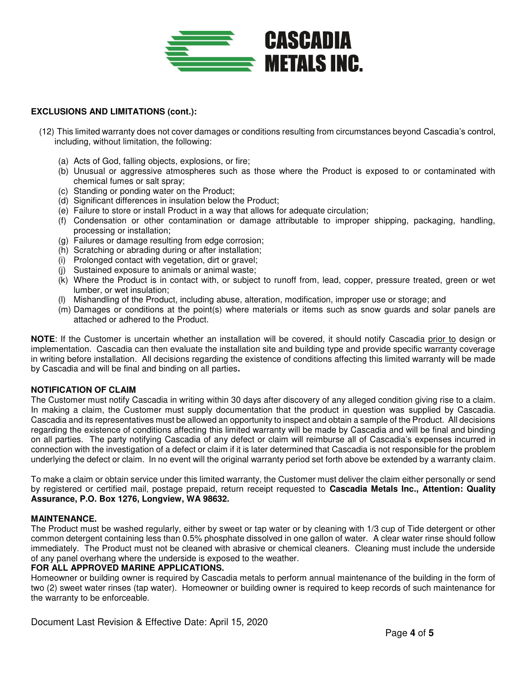

## **EXCLUSIONS AND LIMITATIONS (cont.):**

- (12) This limited warranty does not cover damages or conditions resulting from circumstances beyond Cascadia's control, including, without limitation, the following:
	- (a) Acts of God, falling objects, explosions, or fire;
	- (b) Unusual or aggressive atmospheres such as those where the Product is exposed to or contaminated with chemical fumes or salt spray;
	- (c) Standing or ponding water on the Product;
	- (d) Significant differences in insulation below the Product;
	- (e) Failure to store or install Product in a way that allows for adequate circulation;
	- (f) Condensation or other contamination or damage attributable to improper shipping, packaging, handling, processing or installation;
	- (g) Failures or damage resulting from edge corrosion;
	- (h) Scratching or abrading during or after installation;
	- (i) Prolonged contact with vegetation, dirt or gravel;
	- (j) Sustained exposure to animals or animal waste;
	- (k) Where the Product is in contact with, or subject to runoff from, lead, copper, pressure treated, green or wet lumber, or wet insulation;
	- (l) Mishandling of the Product, including abuse, alteration, modification, improper use or storage; and
	- (m) Damages or conditions at the point(s) where materials or items such as snow guards and solar panels are attached or adhered to the Product.

**NOTE:** If the Customer is uncertain whether an installation will be covered, it should notify Cascadia prior to design or implementation. Cascadia can then evaluate the installation site and building type and provide specific warranty coverage in writing before installation. All decisions regarding the existence of conditions affecting this limited warranty will be made by Cascadia and will be final and binding on all parties**.** 

## **NOTIFICATION OF CLAIM**

The Customer must notify Cascadia in writing within 30 days after discovery of any alleged condition giving rise to a claim. In making a claim, the Customer must supply documentation that the product in question was supplied by Cascadia. Cascadia and its representatives must be allowed an opportunity to inspect and obtain a sample of the Product. All decisions regarding the existence of conditions affecting this limited warranty will be made by Cascadia and will be final and binding on all parties. The party notifying Cascadia of any defect or claim will reimburse all of Cascadia's expenses incurred in connection with the investigation of a defect or claim if it is later determined that Cascadia is not responsible for the problem underlying the defect or claim. In no event will the original warranty period set forth above be extended by a warranty claim.

To make a claim or obtain service under this limited warranty, the Customer must deliver the claim either personally or send by registered or certified mail, postage prepaid, return receipt requested to **Cascadia Metals Inc., Attention: Quality Assurance, P.O. Box 1276, Longview, WA 98632.** 

## **MAINTENANCE.**

The Product must be washed regularly, either by sweet or tap water or by cleaning with 1/3 cup of Tide detergent or other common detergent containing less than 0.5% phosphate dissolved in one gallon of water. A clear water rinse should follow immediately. The Product must not be cleaned with abrasive or chemical cleaners. Cleaning must include the underside of any panel overhang where the underside is exposed to the weather.

# **FOR ALL APPROVED MARINE APPLICATIONS.**

Homeowner or building owner is required by Cascadia metals to perform annual maintenance of the building in the form of two (2) sweet water rinses (tap water). Homeowner or building owner is required to keep records of such maintenance for the warranty to be enforceable.